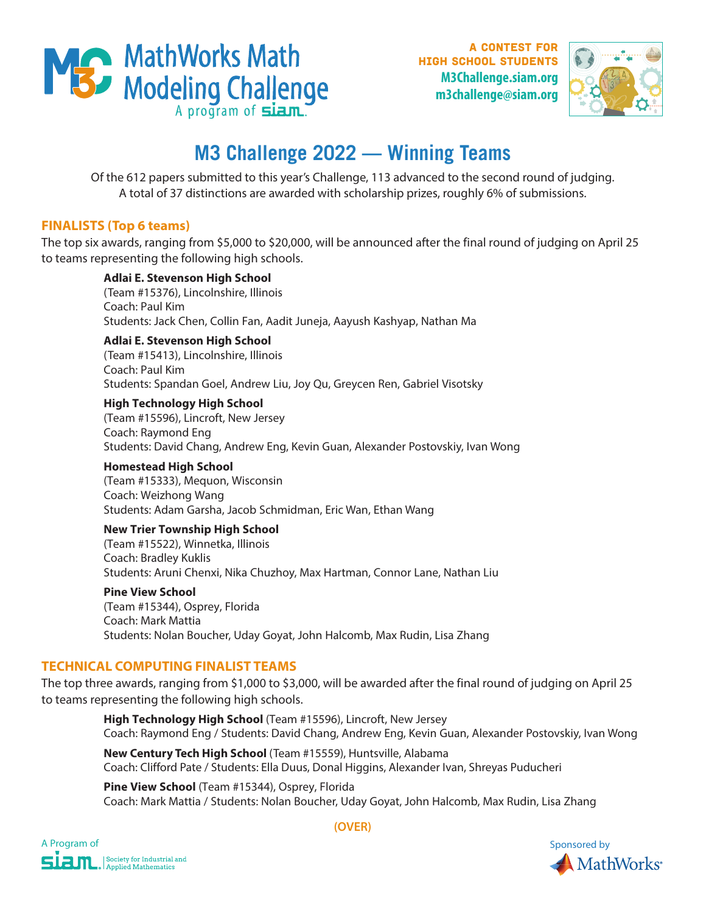

A contest for high school students **M3Challenge.siam.org m3challenge@siam.org**



# **M3 Challenge 2022 — Winning Teams**

Of the 612 papers submitted to this year's Challenge, 113 advanced to the second round of judging. A total of 37 distinctions are awarded with scholarship prizes, roughly 6% of submissions.

# **FINALISTS (Top 6 teams)**

The top six awards, ranging from \$5,000 to \$20,000, will be announced after the final round of judging on April 25 to teams representing the following high schools.

## **Adlai E. Stevenson High School**

(Team #15376), Lincolnshire, Illinois Coach: Paul Kim Students: Jack Chen, Collin Fan, Aadit Juneja, Aayush Kashyap, Nathan Ma

#### **Adlai E. Stevenson High School**

(Team #15413), Lincolnshire, Illinois Coach: Paul Kim Students: Spandan Goel, Andrew Liu, Joy Qu, Greycen Ren, Gabriel Visotsky

# **High Technology High School**

(Team #15596), Lincroft, New Jersey Coach: Raymond Eng Students: David Chang, Andrew Eng, Kevin Guan, Alexander Postovskiy, Ivan Wong

#### **Homestead High School**

(Team #15333), Mequon, Wisconsin Coach: Weizhong Wang Students: Adam Garsha, Jacob Schmidman, Eric Wan, Ethan Wang

#### **New Trier Township High School**

(Team #15522), Winnetka, Illinois Coach: Bradley Kuklis Students: Aruni Chenxi, Nika Chuzhoy, Max Hartman, Connor Lane, Nathan Liu

#### **Pine View School**

(Team #15344), Osprey, Florida Coach: Mark Mattia Students: Nolan Boucher, Uday Goyat, John Halcomb, Max Rudin, Lisa Zhang

# **TECHNICAL COMPUTING FINALIST TEAMS**

The top three awards, ranging from \$1,000 to \$3,000, will be awarded after the final round of judging on April 25 to teams representing the following high schools.

> **High Technology High School** (Team #15596), Lincroft, New Jersey Coach: Raymond Eng / Students: David Chang, Andrew Eng, Kevin Guan, Alexander Postovskiy, Ivan Wong

**New Century Tech High School** (Team #15559), Huntsville, Alabama Coach: Clifford Pate / Students: Ella Duus, Donal Higgins, Alexander Ivan, Shreyas Puducheri

**Pine View School** (Team #15344), Osprey, Florida Coach: Mark Mattia / Students: Nolan Boucher, Uday Goyat, John Halcomb, Max Rudin, Lisa Zhang



**(OVER)**